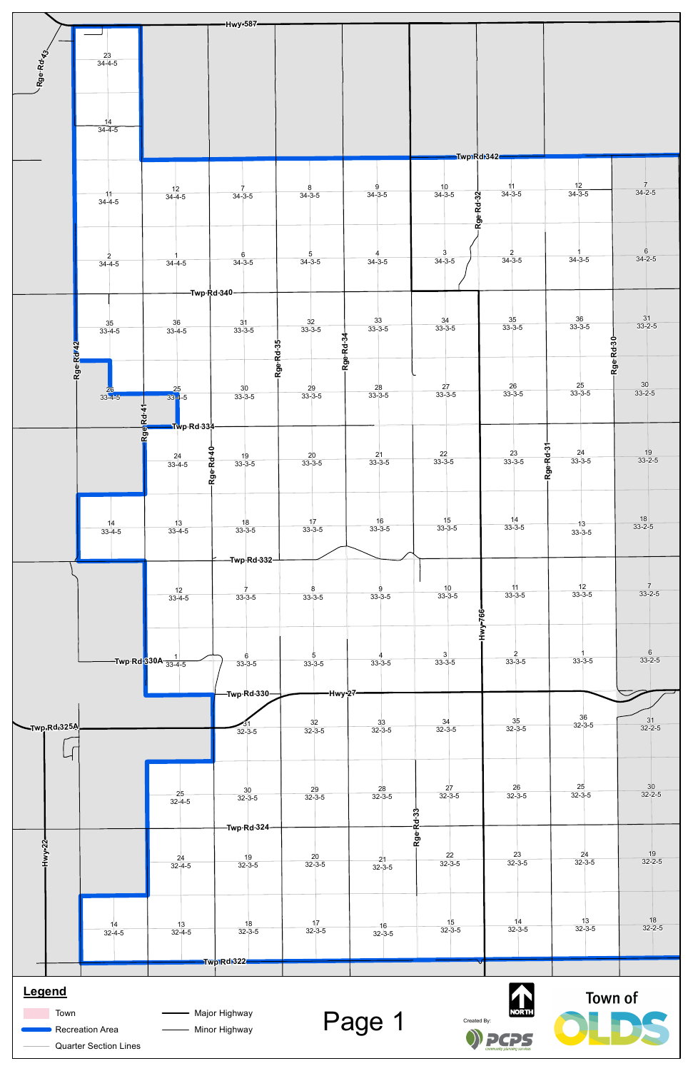| Legend<br>Town<br>Recreation Area<br><b>Quarter Section Lines</b> |                    | Major Highway<br>Minor Highway |                                    | Page 1                  |                                 | NORTH<br>Created By:           |                    | Town of                 |                         |
|-------------------------------------------------------------------|--------------------|--------------------------------|------------------------------------|-------------------------|---------------------------------|--------------------------------|--------------------|-------------------------|-------------------------|
|                                                                   |                    |                                | <mark>-Twp</mark> Rd-322           |                         |                                 |                                |                    |                         |                         |
|                                                                   | 14<br>$32 - 4 - 5$ | 13<br>$32 - 4 - 5$             | 18<br>$32 - 3 - 5$                 | 17<br>$32 - 3 - 5$      | -16<br>$32 - 3 - 5$             | 1 <sub>5</sub><br>$32 - 3 - 5$ | 14<br>$32 - 3 - 5$ | 13<br>$32 - 3 - 5$      | $\frac{18}{32 - 2 - 5}$ |
| wy-22                                                             |                    | 24<br>$32 - 4 - 5$             | -Twp·Rd-324-<br>19<br>$32 - 3 - 5$ | $\frac{20}{32 - 3 - 5}$ | Rge-Rd-33<br>21<br>$32 - 3 - 5$ | 22<br>$32 - 3 - 5$             | 23<br>$32 - 3 - 5$ | 24<br>$32 - 3 - 5$      | 19<br>$32 - 2 - 5$      |
|                                                                   |                    | $25 -$<br>$32 - 4 - 5$         | $\frac{30}{32-3-5}$                | 29<br>$32 - 3 - 5$      | 2 <sup>8</sup><br>$32 - 3 - 5$  | 27<br>$32 - 3 - 5$             | 26<br>$32 - 3 - 5$ | $\frac{25}{32 - 3 - 5}$ | $\frac{30}{32 - 2 - 5}$ |

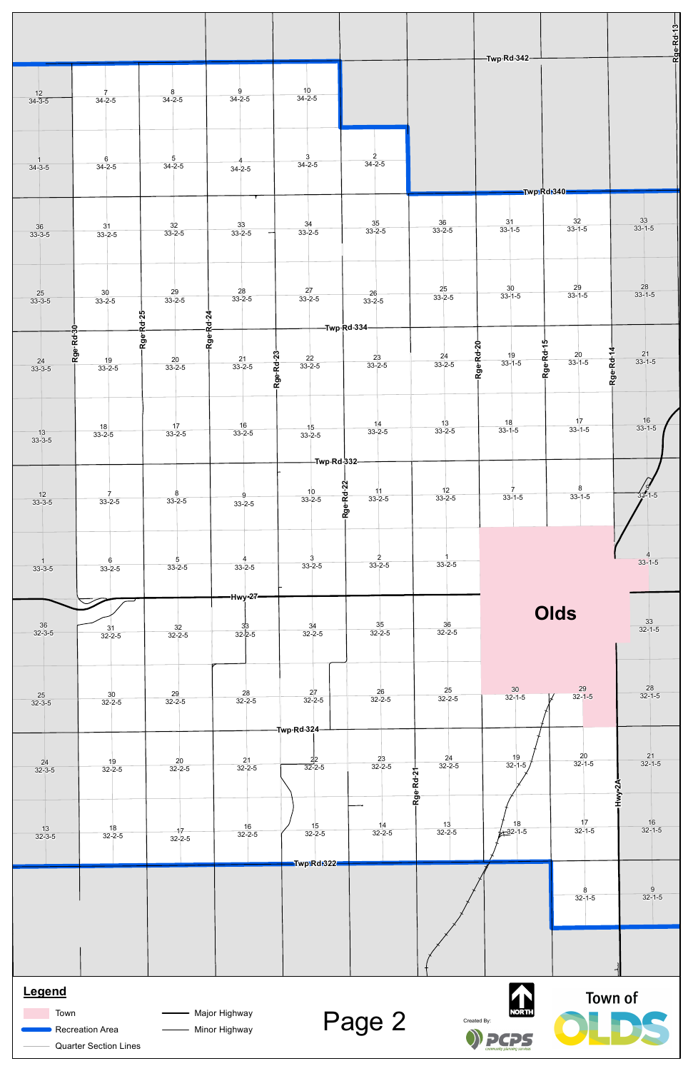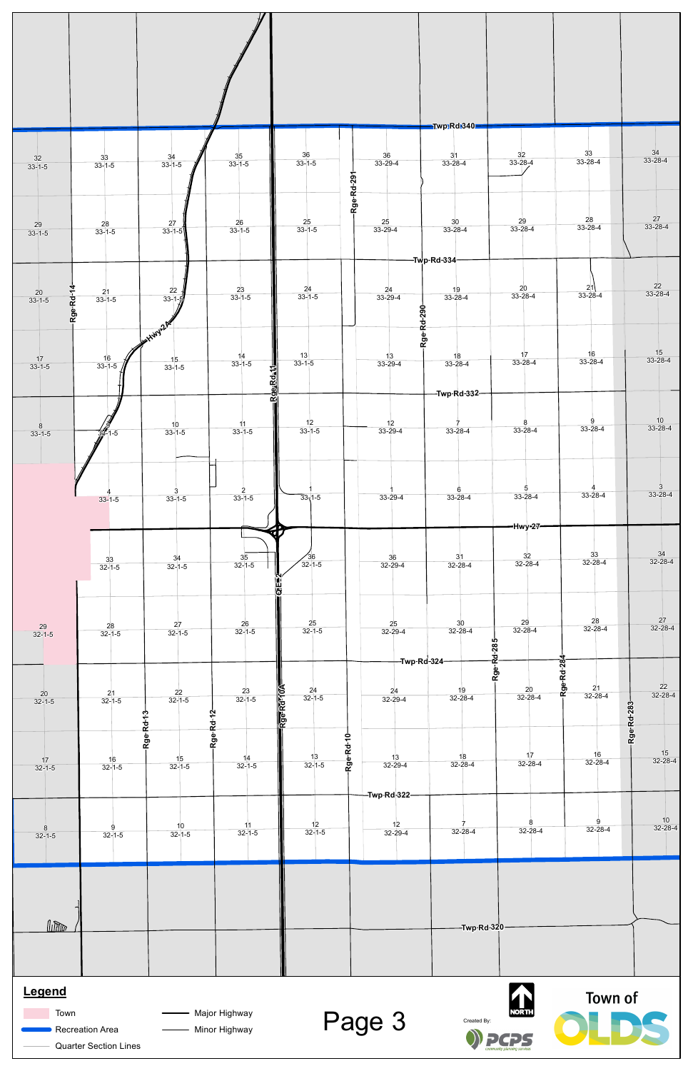| $\frac{32}{33-1-5}$ | 33<br>$33 - 1 - 5$              | $\frac{34}{33-1}$ -5           | 3 <sub>5</sub><br>$33 - 1 - 5$ | 36<br>$33 - 1 - 5$                         | $\frac{36}{33-29-4}$                              | <mark>−T</mark> wp Rd 340−<br>3 <sub>1</sub><br>$33 - 28 - 4$ | $\frac{32}{33-28-4}$                   | 33<br>$33 - 28 - 4$                    | $34$<br>33-28-4                         |
|---------------------|---------------------------------|--------------------------------|--------------------------------|--------------------------------------------|---------------------------------------------------|---------------------------------------------------------------|----------------------------------------|----------------------------------------|-----------------------------------------|
| $\frac{29}{33-1-5}$ | 28<br>$33 - 1 - 5$              | 27<br>$33 - 1 - 5$             | $\frac{26}{33-1}$ -5           | 25<br>$33 - 1 - 5$                         | -Rge-Rd-291<br>25<br>$33 - 29 - 4$                | $\frac{30}{33 - 28 - 4}$                                      | 29<br>$33 - 28 - 4$                    | 28<br>33-28-4                          | $27\,$<br>$33 - 28 - 4$                 |
| 20<br>$33 - 1 - 5$  | Rge-Rd-14<br>21<br>$33 - 1 - 5$ | $\frac{22}{33-1}$              | 23<br>$33 - 1 - 5$             | 24<br>$33 - 1 - 5$                         | 24<br>$33 - 29 - 4$                               | -Tw॑p-Rd-334 <sup>.</sup><br>19<br>33-28-4                    | 20<br>$33 - 28 - 4$                    | 21<br>$33 - 28 - 4$                    | $\frac{22}{33 - 28 - 4}$                |
| $\frac{17}{33-1-5}$ | $\frac{16}{33-1}$ -5            | AHWY2A<br>-15<br>$33 - 1 - 5$  | $\frac{14}{33-1}$ -5           | 13<br>$33 - 1 - 5$<br>Rge.Rd:11=           | Rge-Rd-290-<br>$\frac{13}{33-29-4}$               | 18<br>33-28-4                                                 | 17<br>$33 - 28 - 4$                    | 16<br>$33 - 28 - 4$                    | $\frac{15}{33 - 28 - 4}$                |
| $\frac{8}{33-1}$ -5 | $\frac{1}{32}$ -1-5             | $\frac{10}{33-1}$ -5           | $\frac{11}{33-1}$ -5           | $\frac{12}{33-1}$ -5                       | 12<br>$33 - 29 - 4$                               | -Twp Rd-332-<br>$33 - 28 - 4$                                 | 8<br>$33 - 28 - 4$                     | 9<br>$33 - 28 - 4$                     | 10<br>$33 - 28 - 4$                     |
|                     | $33 - 1 - 5$                    | 3<br>$33 - 1 - 5$              | 2<br>$33 - 1 - 5$              | $33 - 1 - 5$                               | 33-29-4                                           | 6<br>$33 - 28 - 4$                                            | 5<br>$33 - 28 - 4$<br>-Hwy-27-         | $33 - 28 - 4$                          | 3<br>33-28-4                            |
|                     | $\frac{33}{32-1}$               | $\frac{34}{32-1}$ -5           | $\frac{35}{32-1}$              | 60<br>$\frac{\sqrt{36}}{32-1.5}$<br>EQ E=2 | $\frac{36}{32 - 29 - 4}$                          | 31<br>$32 - 28 - 4$                                           | 32<br>$32 - 28 - 4$                    | 33<br>$32 - 28 - 4$                    | $\frac{34}{32 - 28 - 4}$                |
| $\frac{29}{32-1.5}$ | $\frac{28}{32-1.5}$             | 27<br>$32 - 1 - 5$             | $\frac{26}{32-1}$ -5           | 25<br>$32 - 1 - 5$                         | 25<br>$32 - 29 - 4$<br>–Twp-Rd <mark>-324–</mark> | 30<br>$32 - 28 - 4$                                           | $\frac{29}{32 - 28 - 4}$<br>Rge-Rd-285 | $\frac{28}{32 - 28 - 4}$               | 27<br>$32 - 28 - 4$                     |
| 20<br>$32 - 1 - 5$  | 21<br>$32 - 1 - 5$              | $\frac{22}{32-1}$<br>Rge-Rd-13 | $\frac{23}{32-1}$<br>Rge-Rd-12 | Rge Rd 10A<br>$\frac{24}{32-1}$ -5         | 24<br>$32 - 29 - 4$                               | 19<br>$32 - 28 - 4$                                           | 20<br>$32 - 28 - 4$                    | Rge-Rd-284<br>$\frac{21}{32 - 28 - 4}$ | $\frac{22}{32 - 28 - 4}$<br>Rge-Rd-283- |
| $\frac{17}{32-1.5}$ | 16<br>$32 - 1 - 5$              | 15<br>$32 - 1 - 5$             | 14<br>$32 - 1 - 5$             | 13<br>$32 - 1 - 5$                         | Rge-Rd-10<br>$\frac{13}{32 - 29 - 4}$             | 18<br>$32 - 28 - 4$                                           | 17<br>$32 - 28 - 4$                    | 16<br>$32 - 28 - 4$                    | $\frac{15}{32 - 28 - 4}$                |

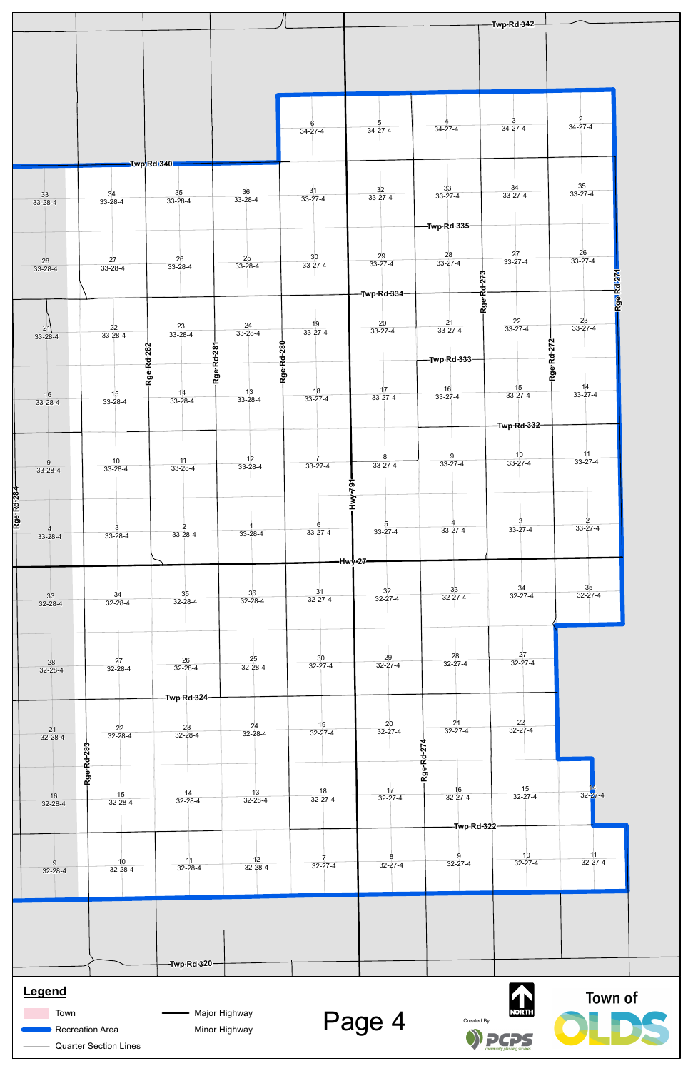|                          |                          |                                                     |                                 |                                 |                          |                                 | -Twp-Rd-342-                    |                      |  |
|--------------------------|--------------------------|-----------------------------------------------------|---------------------------------|---------------------------------|--------------------------|---------------------------------|---------------------------------|----------------------|--|
|                          |                          |                                                     |                                 |                                 |                          |                                 |                                 |                      |  |
|                          |                          |                                                     |                                 |                                 |                          |                                 |                                 |                      |  |
|                          |                          |                                                     |                                 | $34 - 27 - 4$                   | 5<br>$34 - 27 - 4$       | $34 - 27 - 4$                   | $34 - 27 - 4$                   | $34 - 27 - 4$        |  |
|                          |                          | <mark>-T</mark> wp <mark><sup>∤</sup>Rdi340=</mark> |                                 |                                 |                          |                                 |                                 |                      |  |
| 33<br>$33 - 28 - 4$      | 34<br>33-28-4            | $\frac{35}{33-28-4}$                                | 36<br>$33 - 28 - 4$             | 3 <sub>1</sub><br>$33 - 27 - 4$ | 32<br>$33-27-4$          | 3 <sub>3</sub><br>$33 - 27 - 4$ | $\frac{34}{33-27-4}$            | $\frac{35}{33-27-4}$ |  |
|                          |                          |                                                     |                                 |                                 |                          | -Twp·Rd-335-                    |                                 |                      |  |
| $\frac{28}{33 - 28 - 4}$ | 27<br>$33 - 28 - 4$      | 26<br>$33 - 28 - 4$                                 | 25<br>$33 - 28 - 4$             | 3 <sub>0</sub><br>$33-27-4$     | 29<br>$33 - 27 - 4$      | 28<br>$33 - 27 - 4$             | 27<br>$33 - 27 - 4$             | $\frac{26}{33-27-4}$ |  |
|                          |                          |                                                     |                                 |                                 | -Twp·Rd-334-             | Rge-Rd-273                      |                                 | Rge Rd 274           |  |
| $\frac{21}{33 - 28 - 4}$ | $\frac{22}{33 - 28 - 4}$ | $\frac{23}{33 - 28 - 4}$                            | 24<br>$33 - 28 - 4$             | 19<br>$33 - 27 - 4$             | 20<br>$33-27-4$          | 21<br>$33 - 27 - 4$             | 22<br>$33 - 27 - 4$             | 23<br>$33 - 27 - 4$  |  |
|                          |                          | Rge-Rd-281<br>Rge-Rd-282                            |                                 | Rge-Rd-280-                     |                          | -Twp·Rd-333−                    |                                 | -Rge-Rd-272          |  |
| $\frac{16}{33 - 28 - 4}$ | 15<br>$33 - 28 - 4$      | 14<br>$33 - 28 - 4$                                 | 1 <sup>3</sup><br>$33 - 28 - 4$ | 18<br>$33 - 27 - 4$             | 17<br>$33 - 27 - 4$      | 16<br>$33 - 27 - 4$             | 1 <sub>5</sub><br>$33 - 27 - 4$ | 14<br>$33 - 27 - 4$  |  |
|                          |                          |                                                     |                                 |                                 |                          | a                               | -Twp·Rd-332-                    | 11                   |  |
| 9<br>33-28-4             | 10<br>$33 - 28 - 4$      | 11<br>$33 - 28 - 4$                                 | 12<br>$33 - 28 - 4$             | $33 - 27 - 4$                   | $33 - 27 - 4$<br>$-7.97$ | $33 - 27 - 4$                   | 10<br>$33-27-4$                 | $33 - 27 - 4$        |  |
|                          |                          |                                                     |                                 | 6                               | 5                        |                                 | з                               | 2                    |  |
| 33-28-4                  | $33 - 28 - 4$            | $33 - 28 - 4$                                       | 33-28-4                         | $33 - 27 - 4$                   | $33 - 27 - 4$            | $33 - 27 - 4$                   | $33 - 27 - 4$                   | $33 - 27 - 4$        |  |
| 33                       | 34                       | 3 <sub>5</sub>                                      | 36                              | 31                              | -Hwy-27-<br>32           | 3 <sub>3</sub><br>$32 - 27 - 4$ | 34<br>$32 - 27 - 4$             | 35<br>$32 - 27 - 4$  |  |
| $32 - 28 - 4$            | 32-28-4                  | $32 - 28 - 4$                                       | 32-28-4                         | $32 - 27 - 4$                   | $32 - 27 - 4$            |                                 |                                 |                      |  |
| 28                       | 27                       | $\frac{26}{32 - 28 - 4}$                            | 25<br>$32 - 28 - 4$             | 30<br>$32 - 27 - 4$             | 29<br>$32 - 27 - 4$      | 28<br>$32 - 27 - 4$             | $\frac{27}{32 - 27 - 4}$        |                      |  |
| 32-28-4                  | $32 - 28 - 4$            | −Twp·Rd-324−                                        |                                 |                                 |                          |                                 |                                 |                      |  |
| 21<br>$32 - 28 - 4$      | 22<br>$32 - 28 - 4$      | 23<br>$32 - 28 - 4$                                 | 24<br>$32 - 28 - 4$             | 19<br>$32 - 27 - 4$             | 20<br>$32 - 27 - 4$      | 21<br>$32 - 27 - 4$             | 22<br>$32 - 27 - 4$             |                      |  |
|                          | Rge-Rd-283-              |                                                     |                                 |                                 |                          | -Rge-Rd-274                     |                                 |                      |  |